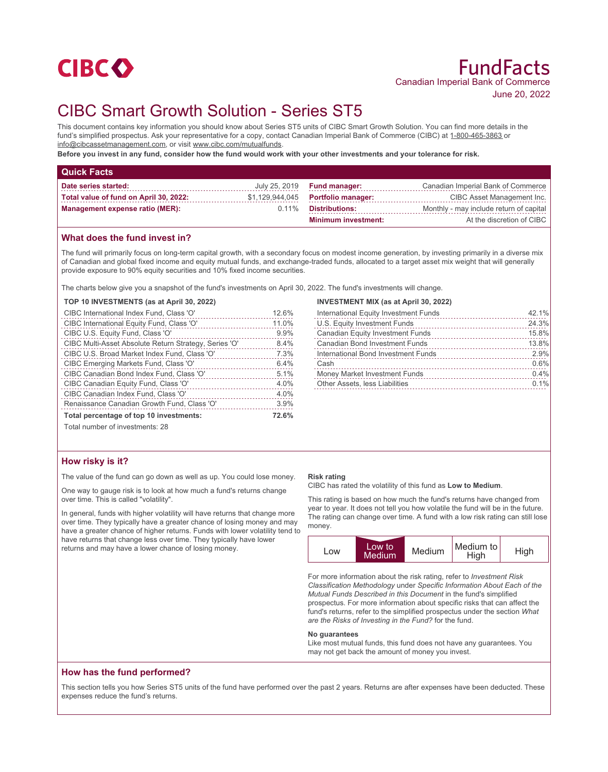

# CIBC Smart Growth Solution - Series ST5

This document contains key information you should know about Series ST5 units of CIBC Smart Growth Solution. You can find more details in the fund's simplified prospectus. Ask your representative for a copy, contact Canadian Imperial Bank of Commerce (CIBC) at 1-800-465-3863 or info@cibcassetmanagement.com, or visit www.cibc.com/mutualfunds.

**Before you invest in any fund, consider how the fund would work with your other investments and your tolerance for risk.**

| <b>Quick Facts</b>                     |          |                                    |                                         |
|----------------------------------------|----------|------------------------------------|-----------------------------------------|
| Date series started:                   |          | July 25, 2019 <b>Fund manager:</b> | Canadian Imperial Bank of Commerce      |
| Total value of fund on April 30, 2022: |          | \$1,129,944,045 Portfolio manager: | CIBC Asset Management Inc.              |
| Management expense ratio (MER):        | $0.11\%$ | Distributions:                     | Monthly - may include return of capital |
|                                        |          | <b>Minimum investment:</b>         | At the discretion of CIBC               |

## **What does the fund invest in?**

The fund will primarily focus on long-term capital growth, with a secondary focus on modest income generation, by investing primarily in a diverse mix of Canadian and global fixed income and equity mutual funds, and exchange-traded funds, allocated to a target asset mix weight that will generally provide exposure to 90% equity securities and 10% fixed income securities.

The charts below give you a snapshot of the fund's investments on April 30, 2022. The fund's investments will change.

#### **TOP 10 INVESTMENTS (as at April 30, 2022)**

| CIBC International Index Fund, Class 'O'              | 12.6% |
|-------------------------------------------------------|-------|
| CIBC International Equity Fund, Class 'O'             | 11.0% |
| CIBC U.S. Equity Fund, Class 'O'                      | 9.9%  |
| CIBC Multi-Asset Absolute Return Strategy, Series 'O' | 8.4%  |
| CIBC U.S. Broad Market Index Fund, Class 'O'          | 7.3%  |
| CIBC Emerging Markets Fund, Class 'O'                 | 6.4%  |
| CIBC Canadian Bond Index Fund, Class 'O'              | 5.1%  |
| CIBC Canadian Equity Fund, Class 'O'                  | 4.0%  |
| CIBC Canadian Index Fund, Class 'O'                   | 4.0%  |
| Renaissance Canadian Growth Fund, Class 'O'           | 3.9%  |
| Total percentage of top 10 investments:               |       |
| Total number of investments: 28                       |       |

# **INVESTMENT MIX (as at April 30, 2022)**

| International Equity Investment Funds   | 42.1% |
|-----------------------------------------|-------|
| U.S. Equity Investment Funds            | 24.3% |
| <b>Canadian Equity Investment Funds</b> | 15.8% |
| <b>Canadian Bond Investment Funds</b>   | 13.8% |
| International Bond Investment Funds     | 2.9%  |
| Cash                                    | 0.6%  |
| Money Market Investment Funds           | 0.4%  |
| Other Assets, less Liabilities          | 0.1%  |
|                                         |       |

# **How risky is it?**

The value of the fund can go down as well as up. You could lose money.

One way to gauge risk is to look at how much a fund's returns change over time. This is called "volatility".

In general, funds with higher volatility will have returns that change more over time. They typically have a greater chance of losing money and may have a greater chance of higher returns. Funds with lower volatility tend to have returns that change less over time. They typically have lower returns and may have a lower chance of losing money.

#### **Risk rating**

CIBC has rated the volatility of this fund as **Low to Medium**.

This rating is based on how much the fund's returns have changed from year to year. It does not tell you how volatile the fund will be in the future. The rating can change over time. A fund with a low risk rating can still lose money.



For more information about the risk rating, refer to *Investment Risk Classification Methodology* under *Specific Information About Each of the Mutual Funds Described in this Document* in the fund's simplified prospectus. For more information about specific risks that can affect the fund's returns, refer to the simplified prospectus under the section *What are the Risks of Investing in the Fund?* for the fund.

#### **No guarantees**

Like most mutual funds, this fund does not have any guarantees. You may not get back the amount of money you invest.

### **How has the fund performed?**

This section tells you how Series ST5 units of the fund have performed over the past 2 years. Returns are after expenses have been deducted. These expenses reduce the fund's returns.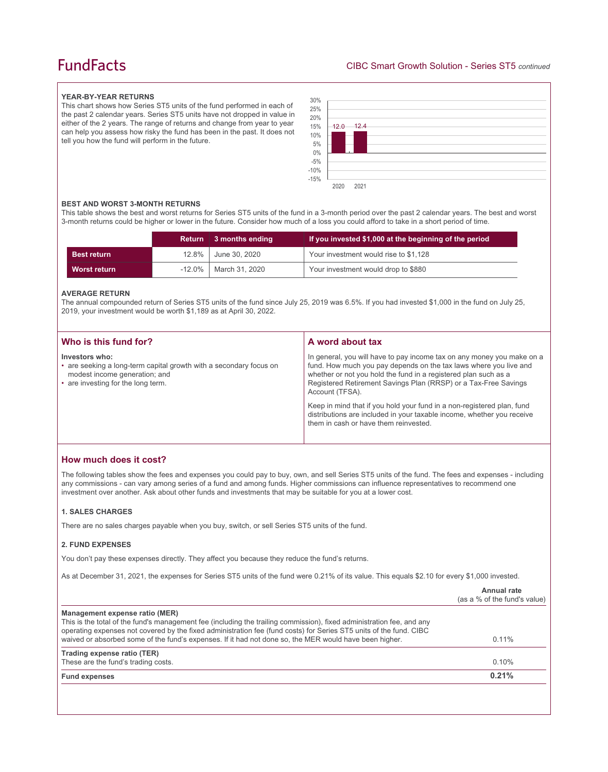# **FundFacts**

#### **YEAR-BY-YEAR RETURNS**

This chart shows how Series ST5 units of the fund performed in each of the past 2 calendar years. Series ST5 units have not dropped in value in either of the 2 years. The range of returns and change from year to year can help you assess how risky the fund has been in the past. It does not tell you how the fund will perform in the future.



#### **BEST AND WORST 3-MONTH RETURNS**

This table shows the best and worst returns for Series ST5 units of the fund in a 3-month period over the past 2 calendar years. The best and worst 3-month returns could be higher or lower in the future. Consider how much of a loss you could afford to take in a short period of time.

|                    |       | Return 3 months ending  | If you invested \$1,000 at the beginning of the period |
|--------------------|-------|-------------------------|--------------------------------------------------------|
| <b>Best return</b> | 12.8% | June 30, 2020           | Your investment would rise to \$1,128                  |
| Worst return       |       | -12.0%   March 31, 2020 | Your investment would drop to \$880                    |

### **AVERAGE RETURN**

The annual compounded return of Series ST5 units of the fund since July 25, 2019 was 6.5%. If you had invested \$1,000 in the fund on July 25, 2019, your investment would be worth \$1,189 as at April 30, 2022.

| Investors who:                                                                                                                                                                                                                                                                                                                                                                                                                                                                                                                                                       | Who is this fund for? | A word about tax                                                       |
|----------------------------------------------------------------------------------------------------------------------------------------------------------------------------------------------------------------------------------------------------------------------------------------------------------------------------------------------------------------------------------------------------------------------------------------------------------------------------------------------------------------------------------------------------------------------|-----------------------|------------------------------------------------------------------------|
| fund. How much you pay depends on the tax laws where you live and<br>• are seeking a long-term capital growth with a secondary focus on<br>whether or not you hold the fund in a registered plan such as a<br>modest income generation; and<br>Registered Retirement Savings Plan (RRSP) or a Tax-Free Savings<br>• are investing for the long term.<br>Account (TFSA).<br>Keep in mind that if you hold your fund in a non-registered plan, fund<br>distributions are included in your taxable income, whether you receive<br>them in cash or have them reinvested. |                       | In general, you will have to pay income tax on any money you make on a |

# **How much does it cost?**

The following tables show the fees and expenses you could pay to buy, own, and sell Series ST5 units of the fund. The fees and expenses - including any commissions - can vary among series of a fund and among funds. Higher commissions can influence representatives to recommend one investment over another. Ask about other funds and investments that may be suitable for you at a lower cost.

#### **1. SALES CHARGES**

There are no sales charges payable when you buy, switch, or sell Series ST5 units of the fund.

#### **2. FUND EXPENSES**

You don't pay these expenses directly. They affect you because they reduce the fund's returns.

As at December 31, 2021, the expenses for Series ST5 units of the fund were 0.21% of its value. This equals \$2.10 for every \$1,000 invested.

|                                                                                                                                                                                                                                                                                                                                                                                         | Annual rate<br>(as a % of the fund's value) |
|-----------------------------------------------------------------------------------------------------------------------------------------------------------------------------------------------------------------------------------------------------------------------------------------------------------------------------------------------------------------------------------------|---------------------------------------------|
| Management expense ratio (MER)<br>This is the total of the fund's management fee (including the trailing commission), fixed administration fee, and any<br>operating expenses not covered by the fixed administration fee (fund costs) for Series ST5 units of the fund. CIBC<br>waived or absorbed some of the fund's expenses. If it had not done so, the MER would have been higher. | $0.11\%$                                    |
| Trading expense ratio (TER)<br>These are the fund's trading costs.                                                                                                                                                                                                                                                                                                                      | 0.10%                                       |
| <b>Fund expenses</b>                                                                                                                                                                                                                                                                                                                                                                    | 0.21%                                       |